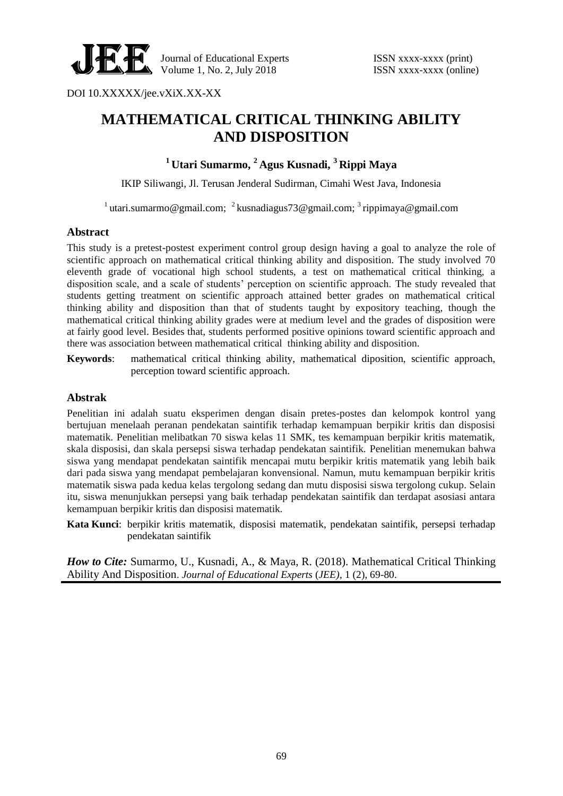

DOI 10.XXXXX/jee.vXiX.XX-XX

# **MATHEMATICAL CRITICAL THINKING ABILITY AND DISPOSITION**

**<sup>1</sup> Utari Sumarmo, <sup>2</sup> Agus Kusnadi, <sup>3</sup> Rippi Maya** 

IKIP Siliwangi, Jl. Terusan Jenderal Sudirman, Cimahi West Java, Indonesia

<sup>1</sup> utari.sumarmo@gmail.com; <sup>2</sup> kusnadiagus73@gmail.com; <sup>3</sup> rippimaya@gmail.com

#### **Abstract**

This study is a pretest-postest experiment control group design having a goal to analyze the role of scientific approach on mathematical critical thinking ability and disposition. The study involved 70 eleventh grade of vocational high school students, a test on mathematical critical thinking, a disposition scale, and a scale of students' perception on scientific approach. The study revealed that students getting treatment on scientific approach attained better grades on mathematical critical thinking ability and disposition than that of students taught by expository teaching, though the mathematical critical thinking ability grades were at medium level and the grades of disposition were at fairly good level. Besides that, students performed positive opinions toward scientific approach and there was association between mathematical critical thinking ability and disposition.

**Keywords**: mathematical critical thinking ability, mathematical diposition, scientific approach, perception toward scientific approach.

#### **Abstrak**

Penelitian ini adalah suatu eksperimen dengan disain pretes-postes dan kelompok kontrol yang bertujuan menelaah peranan pendekatan saintifik terhadap kemampuan berpikir kritis dan disposisi matematik. Penelitian melibatkan 70 siswa kelas 11 SMK, tes kemampuan berpikir kritis matematik, skala disposisi, dan skala persepsi siswa terhadap pendekatan saintifik. Penelitian menemukan bahwa siswa yang mendapat pendekatan saintifik mencapai mutu berpikir kritis matematik yang lebih baik dari pada siswa yang mendapat pembelajaran konvensional. Namun, mutu kemampuan berpikir kritis matematik siswa pada kedua kelas tergolong sedang dan mutu disposisi siswa tergolong cukup. Selain itu, siswa menunjukkan persepsi yang baik terhadap pendekatan saintifik dan terdapat asosiasi antara kemampuan berpikir kritis dan disposisi matematik.

**Kata Kunci**: berpikir kritis matematik, disposisi matematik, pendekatan saintifik, persepsi terhadap pendekatan saintifik

*How to Cite:* Sumarmo, U., Kusnadi, A., & Maya, R. (2018). Mathematical Critical Thinking Ability And Disposition. *Journal of Educational Experts* (*JEE)*, 1 (2), 69-80.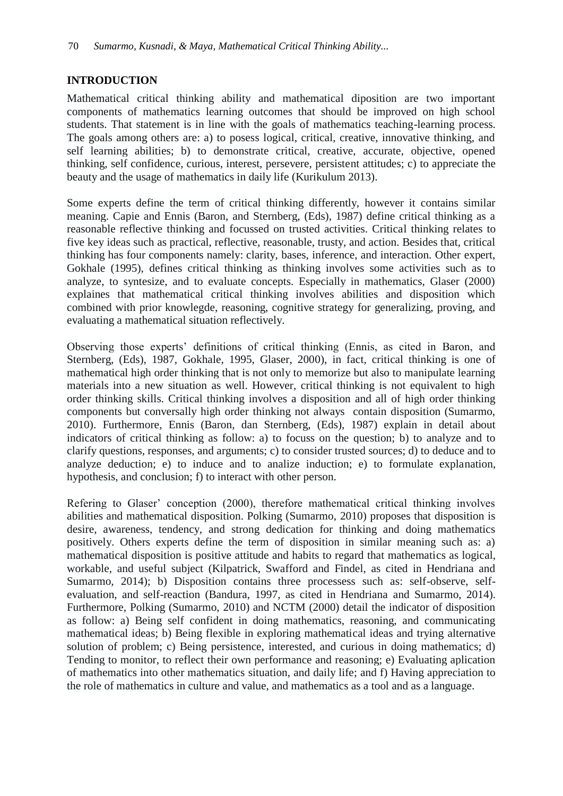## **INTRODUCTION**

Mathematical critical thinking ability and mathematical diposition are two important components of mathematics learning outcomes that should be improved on high school students. That statement is in line with the goals of mathematics teaching-learning process. The goals among others are: a) to posess logical, critical, creative, innovative thinking, and self learning abilities; b) to demonstrate critical, creative, accurate, objective, opened thinking, self confidence, curious, interest, persevere, persistent attitudes; c) to appreciate the beauty and the usage of mathematics in daily life (Kurikulum 2013).

Some experts define the term of critical thinking differently, however it contains similar meaning. Capie and Ennis (Baron, and Sternberg, (Eds), 1987) define critical thinking as a reasonable reflective thinking and focussed on trusted activities. Critical thinking relates to five key ideas such as practical, reflective, reasonable, trusty, and action. Besides that, critical thinking has four components namely: clarity, bases, inference, and interaction. Other expert, Gokhale (1995), defines critical thinking as thinking involves some activities such as to analyze, to syntesize, and to evaluate concepts. Especially in mathematics, Glaser (2000) explaines that mathematical critical thinking involves abilities and disposition which combined with prior knowlegde, reasoning, cognitive strategy for generalizing, proving, and evaluating a mathematical situation reflectively.

Observing those experts' definitions of critical thinking (Ennis, as cited in Baron, and Sternberg, (Eds), 1987, Gokhale, 1995, Glaser, 2000), in fact, critical thinking is one of mathematical high order thinking that is not only to memorize but also to manipulate learning materials into a new situation as well. However, critical thinking is not equivalent to high order thinking skills. Critical thinking involves a disposition and all of high order thinking components but conversally high order thinking not always contain disposition (Sumarmo, 2010). Furthermore, Ennis (Baron, dan Sternberg, (Eds), 1987) explain in detail about indicators of critical thinking as follow: a) to focuss on the question; b) to analyze and to clarify questions, responses, and arguments; c) to consider trusted sources; d) to deduce and to analyze deduction; e) to induce and to analize induction; e) to formulate explanation, hypothesis, and conclusion; f) to interact with other person.

Refering to Glaser' conception (2000), therefore mathematical critical thinking involves abilities and mathematical disposition. Polking (Sumarmo, 2010) proposes that disposition is desire, awareness, tendency, and strong dedication for thinking and doing mathematics positively. Others experts define the term of disposition in similar meaning such as: a) mathematical disposition is positive attitude and habits to regard that mathematics as logical, workable, and useful subject (Kilpatrick, Swafford and Findel, as cited in Hendriana and Sumarmo, 2014); b) Disposition contains three processess such as: self-observe, selfevaluation, and self-reaction (Bandura, 1997, as cited in Hendriana and Sumarmo, 2014). Furthermore, Polking (Sumarmo, 2010) and NCTM (2000) detail the indicator of disposition as follow: a) Being self confident in doing mathematics, reasoning, and communicating mathematical ideas; b) Being flexible in exploring mathematical ideas and trying alternative solution of problem; c) Being persistence, interested, and curious in doing mathematics; d) Tending to monitor, to reflect their own performance and reasoning; e) Evaluating aplication of mathematics into other mathematics situation, and daily life; and f) Having appreciation to the role of mathematics in culture and value, and mathematics as a tool and as a language.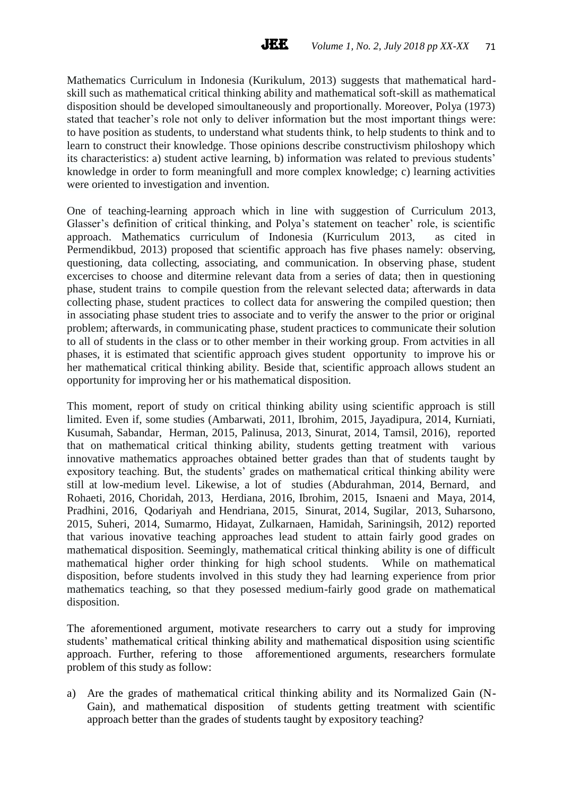Mathematics Curriculum in Indonesia (Kurikulum, 2013) suggests that mathematical hardskill such as mathematical critical thinking ability and mathematical soft-skill as mathematical disposition should be developed simoultaneously and proportionally. Moreover, Polya (1973) stated that teacher's role not only to deliver information but the most important things were: to have position as students, to understand what students think, to help students to think and to learn to construct their knowledge. Those opinions describe constructivism philoshopy which its characteristics: a) student active learning, b) information was related to previous students' knowledge in order to form meaningfull and more complex knowledge; c) learning activities were oriented to investigation and invention.

One of teaching-learning approach which in line with suggestion of Curriculum 2013, Glasser's definition of critical thinking, and Polya's statement on teacher' role, is scientific approach. Mathematics curriculum of Indonesia (Kurriculum 2013, as cited in Permendikbud, 2013) proposed that scientific approach has five phases namely: observing, questioning, data collecting, associating, and communication. In observing phase, student excercises to choose and ditermine relevant data from a series of data; then in questioning phase, student trains to compile question from the relevant selected data; afterwards in data collecting phase, student practices to collect data for answering the compiled question; then in associating phase student tries to associate and to verify the answer to the prior or original problem; afterwards, in communicating phase, student practices to communicate their solution to all of students in the class or to other member in their working group. From actvities in all phases, it is estimated that scientific approach gives student opportunity to improve his or her mathematical critical thinking ability. Beside that, scientific approach allows student an opportunity for improving her or his mathematical disposition.

This moment, report of study on critical thinking ability using scientific approach is still limited. Even if, some studies (Ambarwati, 2011, Ibrohim, 2015, Jayadipura, 2014, Kurniati, Kusumah, Sabandar, Herman, 2015, Palinusa, 2013, Sinurat, 2014, Tamsil, 2016), reported that on mathematical critical thinking ability, students getting treatment with various innovative mathematics approaches obtained better grades than that of students taught by expository teaching. But, the students' grades on mathematical critical thinking ability were still at low-medium level. Likewise, a lot of studies (Abdurahman, 2014, Bernard, and Rohaeti, 2016, Choridah, 2013, Herdiana, 2016, Ibrohim, 2015, Isnaeni and Maya, 2014, Pradhini, 2016, Qodariyah and Hendriana, 2015, Sinurat, 2014, Sugilar, 2013, Suharsono, 2015, Suheri, 2014, Sumarmo, Hidayat, Zulkarnaen, Hamidah, Sariningsih, 2012) reported that various inovative teaching approaches lead student to attain fairly good grades on mathematical disposition. Seemingly, mathematical critical thinking ability is one of difficult mathematical higher order thinking for high school students. While on mathematical disposition, before students involved in this study they had learning experience from prior mathematics teaching, so that they posessed medium-fairly good grade on mathematical disposition.

The aforementioned argument, motivate researchers to carry out a study for improving students' mathematical critical thinking ability and mathematical disposition using scientific approach. Further, refering to those afforementioned arguments, researchers formulate problem of this study as follow:

a) Are the grades of mathematical critical thinking ability and its Normalized Gain (N-Gain), and mathematical disposition of students getting treatment with scientific approach better than the grades of students taught by expository teaching?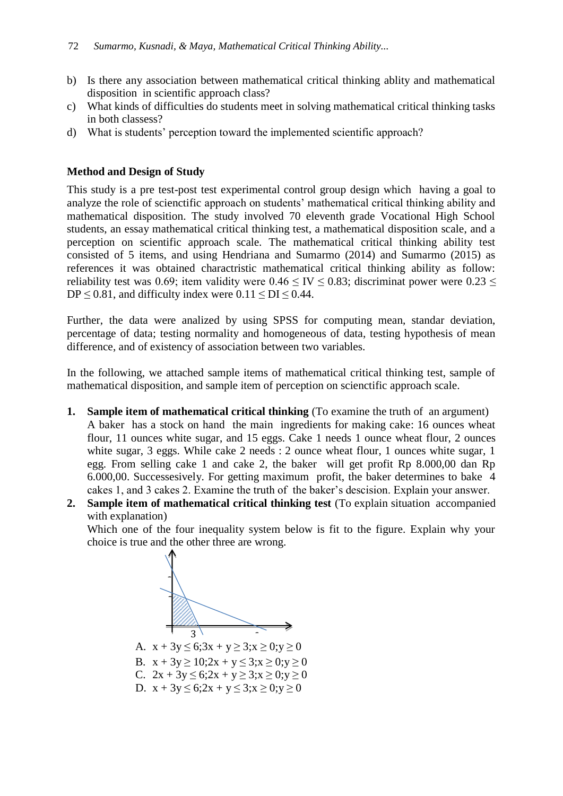- b) Is there any association between mathematical critical thinking ablity and mathematical disposition in scientific approach class?
- c) What kinds of difficulties do students meet in solving mathematical critical thinking tasks in both classess?
- d) What is students' perception toward the implemented scientific approach?

## **Method and Design of Study**

This study is a pre test-post test experimental control group design which having a goal to analyze the role of scienctific approach on students' mathematical critical thinking ability and mathematical disposition. The study involved 70 eleventh grade Vocational High School students, an essay mathematical critical thinking test, a mathematical disposition scale, and a perception on scientific approach scale. The mathematical critical thinking ability test consisted of 5 items, and using Hendriana and Sumarmo (2014) and Sumarmo (2015) as references it was obtained charactristic mathematical critical thinking ability as follow: reliability test was 0.69; item validity were  $0.46 \leq$  IV  $\leq$  0.83; discriminat power were 0.23  $\leq$ DP  $\leq$  0.81, and difficulty index were 0.11  $\leq$  DI  $\leq$  0.44.

Further, the data were analized by using SPSS for computing mean, standar deviation, percentage of data; testing normality and homogeneous of data, testing hypothesis of mean difference, and of existency of association between two variables.

In the following, we attached sample items of mathematical critical thinking test, sample of mathematical disposition, and sample item of perception on scienctific approach scale.

- **1. Sample item of mathematical critical thinking** (To examine the truth of an argument) A baker has a stock on hand the main ingredients for making cake: 16 ounces wheat flour, 11 ounces white sugar, and 15 eggs. Cake 1 needs 1 ounce wheat flour, 2 ounces white sugar, 3 eggs. While cake 2 needs : 2 ounce wheat flour, 1 ounces white sugar, 1 egg. From selling cake 1 and cake 2, the baker will get profit Rp 8.000,00 dan Rp 6.000,00. Successesively. For getting maximum profit, the baker determines to bake 4 cakes 1, and 3 cakes 2. Examine the truth of the baker's descision. Explain your answer.
- **2. Sample item of mathematical critical thinking test** (To explain situation accompanied with explanation)

Which one of the four inequality system below is fit to the figure. Explain why your choice is true and the other three are wrong.



A.  $x + 3y \le 6; 3x + y \ge 3; x \ge 0; y \ge 0$ 

- B.  $x + 3y \ge 10$ ;  $2x + y \le 3$ ;  $x \ge 0$ ;  $y \ge 0$
- C.  $2x + 3y \le 6; 2x + y \ge 3; x \ge 0; y \ge 0$
- D.  $x + 3y \le 6$ ;  $2x + y \le 3$ ;  $x \ge 0$ ;  $y \ge 0$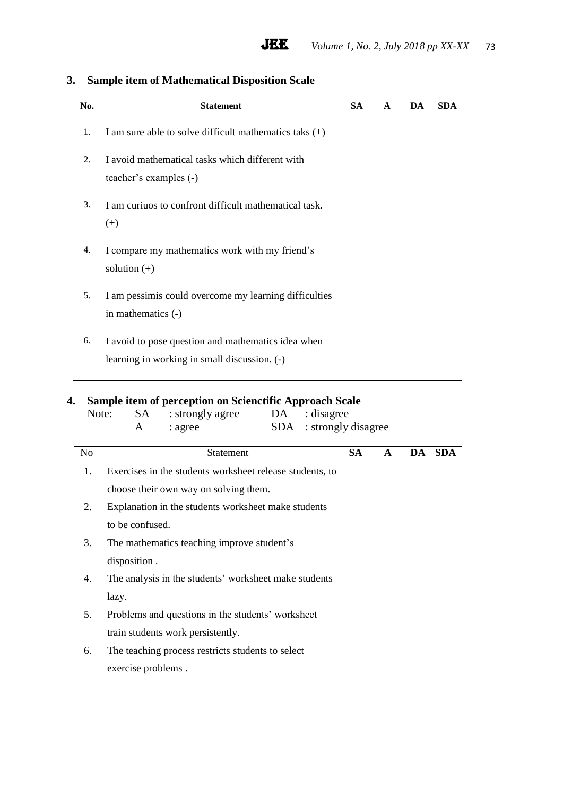| No.            | <b>Statement</b>                                                                                                                                               | <b>SA</b> | A           | DA | <b>SDA</b> |
|----------------|----------------------------------------------------------------------------------------------------------------------------------------------------------------|-----------|-------------|----|------------|
| 1.             | I am sure able to solve difficult mathematics taks $(+)$                                                                                                       |           |             |    |            |
| 2.             | I avoid mathematical tasks which different with                                                                                                                |           |             |    |            |
|                | teacher's examples (-)                                                                                                                                         |           |             |    |            |
| 3.             | I am curiuos to confront difficult mathematical task.                                                                                                          |           |             |    |            |
|                | $(+)$                                                                                                                                                          |           |             |    |            |
| 4.             | I compare my mathematics work with my friend's                                                                                                                 |           |             |    |            |
|                | solution $(+)$                                                                                                                                                 |           |             |    |            |
| 5.             | I am pessimis could overcome my learning difficulties                                                                                                          |           |             |    |            |
|                | in mathematics (-)                                                                                                                                             |           |             |    |            |
| 6.             | I avoid to pose question and mathematics idea when                                                                                                             |           |             |    |            |
|                |                                                                                                                                                                |           |             |    |            |
|                | learning in working in small discussion. (-)<br>Sample item of perception on Scienctific Approach Scale<br>SA<br>: disagree<br>Note:<br>: strongly agree<br>DA |           |             |    |            |
|                | SDA<br>: strongly disagree<br>A<br>: agree                                                                                                                     |           |             |    |            |
| N <sub>o</sub> | Statement                                                                                                                                                      | <b>SA</b> | $\mathbf A$ | DA |            |
| 1.             | Exercises in the students worksheet release students, to                                                                                                       |           |             |    |            |
|                | choose their own way on solving them.                                                                                                                          |           |             |    |            |
| 2.             | Explanation in the students worksheet make students                                                                                                            |           |             |    |            |
|                | to be confused.                                                                                                                                                |           |             |    | <b>SDA</b> |
| 3.             | The mathematics teaching improve student's                                                                                                                     |           |             |    |            |
|                | disposition.                                                                                                                                                   |           |             |    |            |
| 4.             | The analysis in the students' worksheet make students                                                                                                          |           |             |    |            |
|                | lazy.                                                                                                                                                          |           |             |    |            |
| 5.             | Problems and questions in the students' worksheet                                                                                                              |           |             |    |            |
|                | train students work persistently.                                                                                                                              |           |             |    |            |
| 6.             | The teaching process restricts students to select                                                                                                              |           |             |    |            |

**JEE** 

# **3. Sample item of Mathematical Disposition Scale**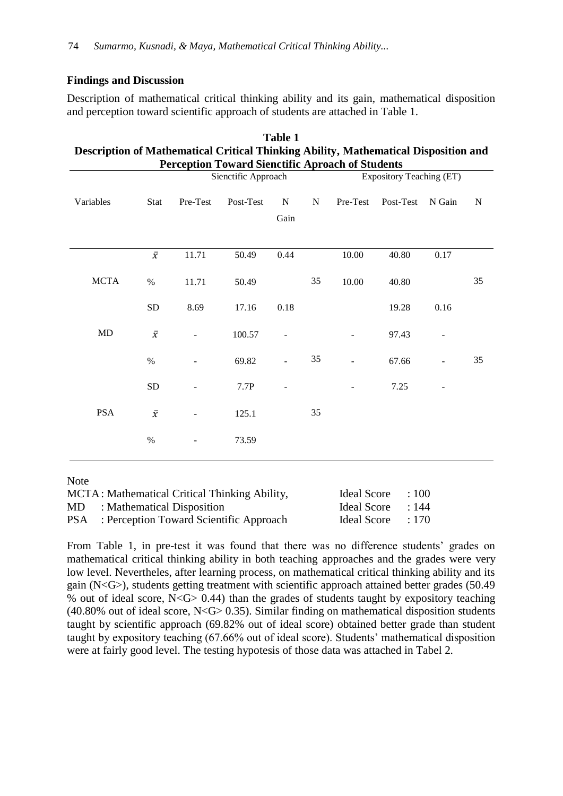## **Findings and Discussion**

Description of mathematical critical thinking ability and its gain, mathematical disposition and perception toward scientific approach of students are attached in Table 1.

| Table 1                                                                                                           |              |          |           |                          |             |          |           |        |             |  |
|-------------------------------------------------------------------------------------------------------------------|--------------|----------|-----------|--------------------------|-------------|----------|-----------|--------|-------------|--|
| Description of Mathematical Critical Thinking Ability, Mathematical Disposition and                               |              |          |           |                          |             |          |           |        |             |  |
| <b>Perception Toward Sienctific Aproach of Students</b><br><b>Expository Teaching (ET)</b><br>Sienctific Approach |              |          |           |                          |             |          |           |        |             |  |
|                                                                                                                   |              |          |           |                          |             |          |           |        |             |  |
| Variables                                                                                                         | Stat         | Pre-Test | Post-Test | N                        | $\mathbf N$ | Pre-Test | Post-Test | N Gain | $\mathbf N$ |  |
|                                                                                                                   |              |          |           | Gain                     |             |          |           |        |             |  |
|                                                                                                                   |              |          |           |                          |             |          |           |        |             |  |
|                                                                                                                   | $\bar{x}$    | 11.71    | 50.49     | 0.44                     |             | 10.00    | 40.80     | 0.17   |             |  |
|                                                                                                                   |              |          |           |                          |             |          |           |        |             |  |
| <b>MCTA</b>                                                                                                       | $\%$         | 11.71    | 50.49     |                          | 35          | 10.00    | 40.80     |        | 35          |  |
|                                                                                                                   | <b>SD</b>    | 8.69     | 17.16     | 0.18                     |             |          | 19.28     | 0.16   |             |  |
|                                                                                                                   |              |          |           |                          |             |          |           |        |             |  |
| <b>MD</b>                                                                                                         | $\bar{\chi}$ |          | 100.57    | $\overline{\phantom{a}}$ |             |          | 97.43     |        |             |  |
|                                                                                                                   | %            |          | 69.82     |                          | 35          |          | 67.66     |        | 35          |  |
|                                                                                                                   |              |          |           |                          |             |          |           |        |             |  |
|                                                                                                                   | <b>SD</b>    |          | 7.7P      |                          |             |          | 7.25      |        |             |  |
|                                                                                                                   |              |          |           |                          |             |          |           |        |             |  |
| <b>PSA</b>                                                                                                        | $\bar{x}$    |          | 125.1     |                          | 35          |          |           |        |             |  |
|                                                                                                                   | $\%$         |          | 73.59     |                          |             |          |           |        |             |  |
|                                                                                                                   |              |          |           |                          |             |          |           |        |             |  |
|                                                                                                                   |              |          |           |                          |             |          |           |        |             |  |

Note

| MCTA: Mathematical Critical Thinking Ability,      | Ideal Score : 100 |  |
|----------------------------------------------------|-------------------|--|
| MD : Mathematical Disposition                      | Ideal Score : 144 |  |
| <b>PSA</b> : Perception Toward Scientific Approach | Ideal Score : 170 |  |

From Table 1, in pre-test it was found that there was no difference students' grades on mathematical critical thinking ability in both teaching approaches and the grades were very low level. Nevertheles, after learning process, on mathematical critical thinking ability and its gain ( $N < G$ ), students getting treatment with scientific approach attained better grades (50.49) % out of ideal score, N<G> 0.44) than the grades of students taught by expository teaching (40.80% out of ideal score,  $N <$  G $>$  0.35). Similar finding on mathematical disposition students taught by scientific approach (69.82% out of ideal score) obtained better grade than student taught by expository teaching (67.66% out of ideal score). Students' mathematical disposition were at fairly good level. The testing hypotesis of those data was attached in Tabel 2.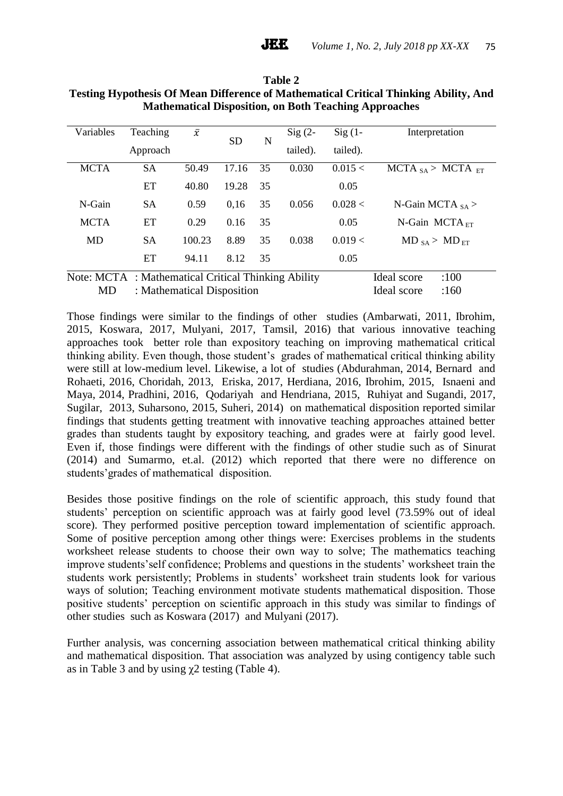| Variables   | Teaching                                            | $\bar{x}$ | <b>SD</b><br>N |          | $Sig(2-$ | $Sig(1 -$ | Interpretation              |
|-------------|-----------------------------------------------------|-----------|----------------|----------|----------|-----------|-----------------------------|
|             | Approach                                            |           |                | tailed). | tailed). |           |                             |
| <b>MCTA</b> | <b>SA</b>                                           | 50.49     | 17.16          | 35       | 0.030    | 0.015 <   | MCTA $_{SA}$ > MCTA $_{ET}$ |
|             | ET                                                  | 40.80     | 19.28          | 35       |          | 0.05      |                             |
| N-Gain      | <b>SA</b>                                           | 0.59      | 0,16           | 35       | 0.056    | 0.028 <   | N-Gain MCTA $_{SA}$ >       |
| <b>MCTA</b> | ET                                                  | 0.29      | 0.16           | 35       |          | 0.05      | N-Gain MCTA $_{ET}$         |
| <b>MD</b>   | <b>SA</b>                                           | 100.23    | 8.89           | 35       | 0.038    | 0.019 <   | $MD_{SA} > MD_{ET}$         |
|             | ET                                                  | 94.11     | 8.12           | 35       |          | 0.05      |                             |
|             | Note: MCTA : Mathematical Critical Thinking Ability |           |                |          |          |           | :100<br>Ideal score         |
| MD          | : Mathematical Disposition                          |           |                |          |          |           | Ideal score<br>:160         |

**Table 2 Testing Hypothesis Of Mean Difference of Mathematical Critical Thinking Ability, And Mathematical Disposition, on Both Teaching Approaches**

Those findings were similar to the findings of other studies (Ambarwati, 2011, Ibrohim, 2015, Koswara, 2017, Mulyani, 2017, Tamsil, 2016) that various innovative teaching approaches took better role than expository teaching on improving mathematical critical thinking ability. Even though, those student's grades of mathematical critical thinking ability were still at low-medium level. Likewise, a lot of studies (Abdurahman, 2014, Bernard and Rohaeti, 2016, Choridah, 2013, Eriska, 2017, Herdiana, 2016, Ibrohim, 2015, Isnaeni and Maya, 2014, Pradhini, 2016, Qodariyah and Hendriana, 2015, Ruhiyat and Sugandi, 2017, Sugilar, 2013, Suharsono, 2015, Suheri, 2014) on mathematical disposition reported similar findings that students getting treatment with innovative teaching approaches attained better grades than students taught by expository teaching, and grades were at fairly good level. Even if, those findings were different with the findings of other studie such as of Sinurat (2014) and Sumarmo, et.al. (2012) which reported that there were no difference on students'grades of mathematical disposition.

Besides those positive findings on the role of scientific approach, this study found that students' perception on scientific approach was at fairly good level (73.59% out of ideal score). They performed positive perception toward implementation of scientific approach. Some of positive perception among other things were: Exercises problems in the students worksheet release students to choose their own way to solve; The mathematics teaching improve students'self confidence; Problems and questions in the students' worksheet train the students work persistently; Problems in students' worksheet train students look for various ways of solution; Teaching environment motivate students mathematical disposition. Those positive students' perception on scientific approach in this study was similar to findings of other studies such as Koswara (2017) and Mulyani (2017).

Further analysis, was concerning association between mathematical critical thinking ability and mathematical disposition. That association was analyzed by using contigency table such as in Table 3 and by using  $\chi$ 2 testing (Table 4).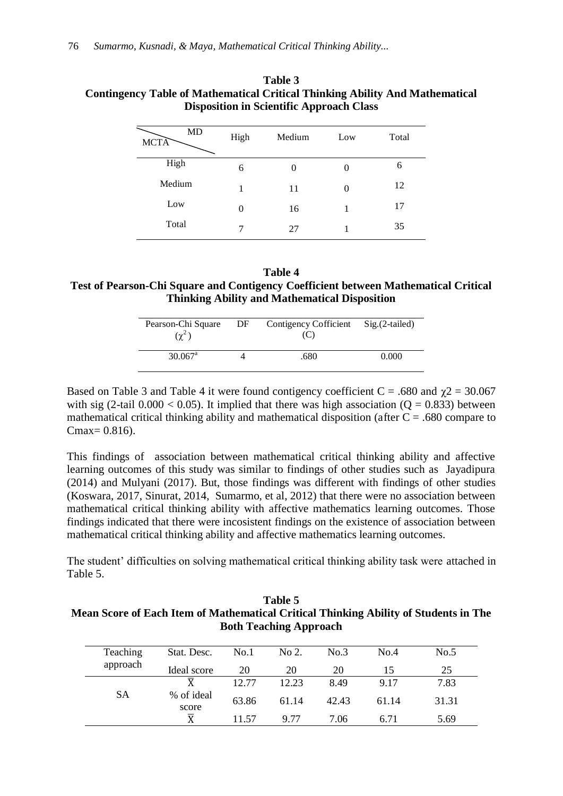| High     | Medium | Low      | Total |
|----------|--------|----------|-------|
| 6        | 0      | 0        | 6     |
| 1        | 11     | $\theta$ | 12    |
| $\theta$ | 16     |          | 17    |
| 7        | 27     |          | 35    |
|          |        |          |       |

## **Table 3 Contingency Table of Mathematical Critical Thinking Ability And Mathematical Disposition in Scientific Approach Class**

**Table 4 Test of Pearson-Chi Square and Contigency Coefficient between Mathematical Critical Thinking Ability and Mathematical Disposition**

| Pearson-Chi Square<br>$(\chi^2)$ | DF | Contigency Cofficient Sig. (2-tailed) |       |
|----------------------------------|----|---------------------------------------|-------|
| $30.067$ <sup>a</sup>            |    | .680                                  | 0.000 |

Based on Table 3 and Table 4 it were found contigency coefficient  $C = .680$  and  $\gamma$ 2 = 30.067 with sig (2-tail  $0.000 < 0.05$ ). It implied that there was high association (Q = 0.833) between mathematical critical thinking ability and mathematical disposition (after  $C = .680$  compare to  $Cmax = 0.816$ .

This findings of association between mathematical critical thinking ability and affective learning outcomes of this study was similar to findings of other studies such as Jayadipura (2014) and Mulyani (2017). But, those findings was different with findings of other studies (Koswara, 2017, Sinurat, 2014, Sumarmo, et al, 2012) that there were no association between mathematical critical thinking ability with affective mathematics learning outcomes. Those findings indicated that there were incosistent findings on the existence of association between mathematical critical thinking ability and affective mathematics learning outcomes.

The student' difficulties on solving mathematical critical thinking ability task were attached in Table 5.

**Table 5 Mean Score of Each Item of Mathematical Critical Thinking Ability of Students in The Both Teaching Approach**

| Teaching  | Stat. Desc.           | No.1  | No 2. | No.3  | No.4  | No.5  |
|-----------|-----------------------|-------|-------|-------|-------|-------|
| approach  | Ideal score           | 20    | 20    | 20    | 15    | 25    |
|           | v                     | 12.77 | 12.23 | 8.49  | 9.17  | 7.83  |
| <b>SA</b> | % of ideal<br>score   | 63.86 | 61.14 | 42.43 | 61.14 | 31.31 |
|           | $\overline{\text{X}}$ | 11.57 | 9.77  | 7.06  | 6.71  | 5.69  |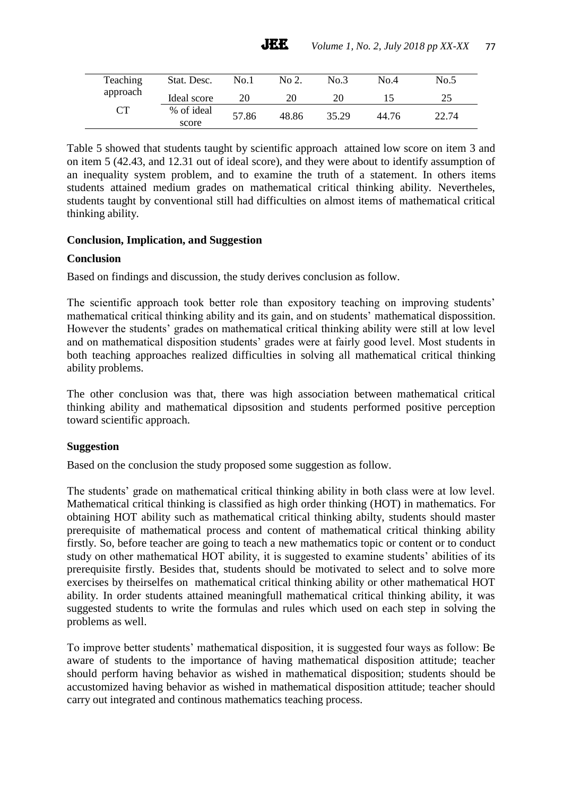| Teaching  | Stat. Desc.         | No.1  | No 2. | No.3  | No.4  | No.5  |
|-----------|---------------------|-------|-------|-------|-------|-------|
| approach  | Ideal score         | 20    | 20    | 20    |       | 25    |
| <b>CT</b> | % of ideal<br>score | 57.86 | 48.86 | 35.29 | 44.76 | 22.74 |

Table 5 showed that students taught by scientific approach attained low score on item 3 and on item 5 (42.43, and 12.31 out of ideal score), and they were about to identify assumption of an inequality system problem, and to examine the truth of a statement. In others items students attained medium grades on mathematical critical thinking ability. Nevertheles, students taught by conventional still had difficulties on almost items of mathematical critical thinking ability.

## **Conclusion, Implication, and Suggestion**

#### **Conclusion**

Based on findings and discussion, the study derives conclusion as follow.

The scientific approach took better role than expository teaching on improving students' mathematical critical thinking ability and its gain, and on students' mathematical dispossition. However the students' grades on mathematical critical thinking ability were still at low level and on mathematical disposition students' grades were at fairly good level. Most students in both teaching approaches realized difficulties in solving all mathematical critical thinking ability problems.

The other conclusion was that, there was high association between mathematical critical thinking ability and mathematical dipsosition and students performed positive perception toward scientific approach.

## **Suggestion**

Based on the conclusion the study proposed some suggestion as follow.

The students' grade on mathematical critical thinking ability in both class were at low level. Mathematical critical thinking is classified as high order thinking (HOT) in mathematics. For obtaining HOT ability such as mathematical critical thinking abilty, students should master prerequisite of mathematical process and content of mathematical critical thinking ability firstly. So, before teacher are going to teach a new mathematics topic or content or to conduct study on other mathematical HOT ability, it is suggested to examine students' abilities of its prerequisite firstly. Besides that, students should be motivated to select and to solve more exercises by theirselfes on mathematical critical thinking ability or other mathematical HOT ability. In order students attained meaningfull mathematical critical thinking ability, it was suggested students to write the formulas and rules which used on each step in solving the problems as well.

To improve better students' mathematical disposition, it is suggested four ways as follow: Be aware of students to the importance of having mathematical disposition attitude; teacher should perform having behavior as wished in mathematical disposition; students should be accustomized having behavior as wished in mathematical disposition attitude; teacher should carry out integrated and continous mathematics teaching process.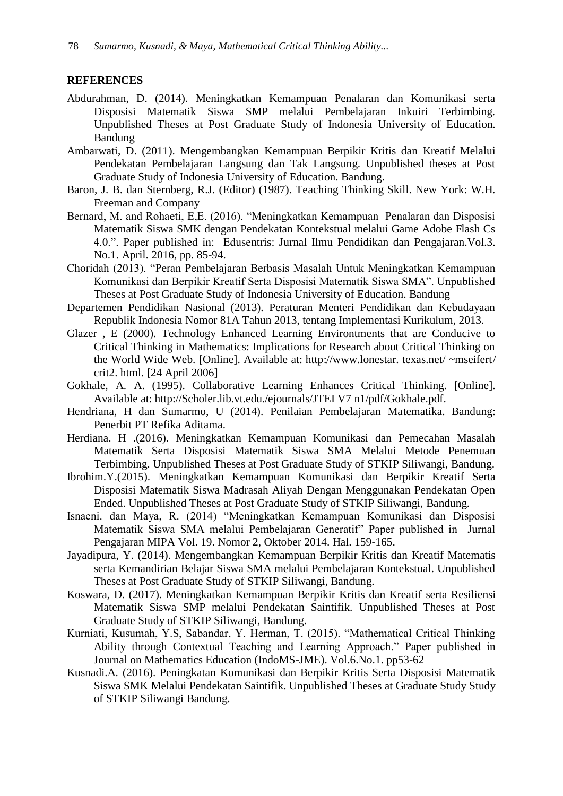#### **REFERENCES**

- Abdurahman, D. (2014). Meningkatkan Kemampuan Penalaran dan Komunikasi serta Disposisi Matematik Siswa SMP melalui Pembelajaran Inkuiri Terbimbing. Unpublished Theses at Post Graduate Study of Indonesia University of Education. Bandung
- Ambarwati, D. (2011). Mengembangkan Kemampuan Berpikir Kritis dan Kreatif Melalui Pendekatan Pembelajaran Langsung dan Tak Langsung. Unpublished theses at Post Graduate Study of Indonesia University of Education. Bandung.
- Baron, J. B. dan Sternberg, R.J. (Editor) (1987). Teaching Thinking Skill. New York: W.H. Freeman and Company
- Bernard, M. and Rohaeti, E,E. (2016). "Meningkatkan Kemampuan Penalaran dan Disposisi Matematik Siswa SMK dengan Pendekatan Kontekstual melalui Game Adobe Flash Cs 4.0.". Paper published in: Edusentris: Jurnal Ilmu Pendidikan dan Pengajaran.Vol.3. No.1. April. 2016, pp. 85-94.
- Choridah (2013). "Peran Pembelajaran Berbasis Masalah Untuk Meningkatkan Kemampuan Komunikasi dan Berpikir Kreatif Serta Disposisi Matematik Siswa SMA". Unpublished Theses at Post Graduate Study of Indonesia University of Education. Bandung
- Departemen Pendidikan Nasional (2013). Peraturan Menteri Pendidikan dan Kebudayaan Republik Indonesia Nomor 81A Tahun 2013, tentang Implementasi Kurikulum, 2013.
- Glazer , E (2000). Technology Enhanced Learning Environtments that are Conducive to Critical Thinking in Mathematics: Implications for Research about Critical Thinking on the World Wide Web. [Online]. Available at: http://www.lonestar. texas.net/ ~mseifert/ crit2. html. [24 April 2006]
- Gokhale, A. A. (1995). Collaborative Learning Enhances Critical Thinking. [Online]. Available at: http://Scholer.lib.vt.edu./ejournals/JTEI V7 n1/pdf/Gokhale.pdf.
- Hendriana, H dan Sumarmo, U (2014). Penilaian Pembelajaran Matematika. Bandung: Penerbit PT Refika Aditama.
- Herdiana. H .(2016). Meningkatkan Kemampuan Komunikasi dan Pemecahan Masalah Matematik Serta Disposisi Matematik Siswa SMA Melalui Metode Penemuan Terbimbing. Unpublished Theses at Post Graduate Study of STKIP Siliwangi, Bandung.
- Ibrohim.Y.(2015). Meningkatkan Kemampuan Komunikasi dan Berpikir Kreatif Serta Disposisi Matematik Siswa Madrasah Aliyah Dengan Menggunakan Pendekatan Open Ended. Unpublished Theses at Post Graduate Study of STKIP Siliwangi, Bandung.
- Isnaeni. dan Maya, R. (2014) "Meningkatkan Kemampuan Komunikasi dan Disposisi Matematik Siswa SMA melalui Pembelajaran Generatif" Paper published in Jurnal Pengajaran MIPA Vol. 19. Nomor 2, Oktober 2014. Hal. 159-165.
- Jayadipura, Y. (2014). Mengembangkan Kemampuan Berpikir Kritis dan Kreatif Matematis serta Kemandirian Belajar Siswa SMA melalui Pembelajaran Kontekstual. Unpublished Theses at Post Graduate Study of STKIP Siliwangi, Bandung.
- Koswara, D. (2017). Meningkatkan Kemampuan Berpikir Kritis dan Kreatif serta Resiliensi Matematik Siswa SMP melalui Pendekatan Saintifik. Unpublished Theses at Post Graduate Study of STKIP Siliwangi, Bandung.
- Kurniati, Kusumah, Y.S, Sabandar, Y. Herman, T. (2015). "Mathematical Critical Thinking Ability through Contextual Teaching and Learning Approach." Paper published in Journal on Mathematics Education (IndoMS-JME). Vol.6.No.1. pp53-62
- Kusnadi.A. (2016). Peningkatan Komunikasi dan Berpikir Kritis Serta Disposisi Matematik Siswa SMK Melalui Pendekatan Saintifik. Unpublished Theses at Graduate Study Study of STKIP Siliwangi Bandung.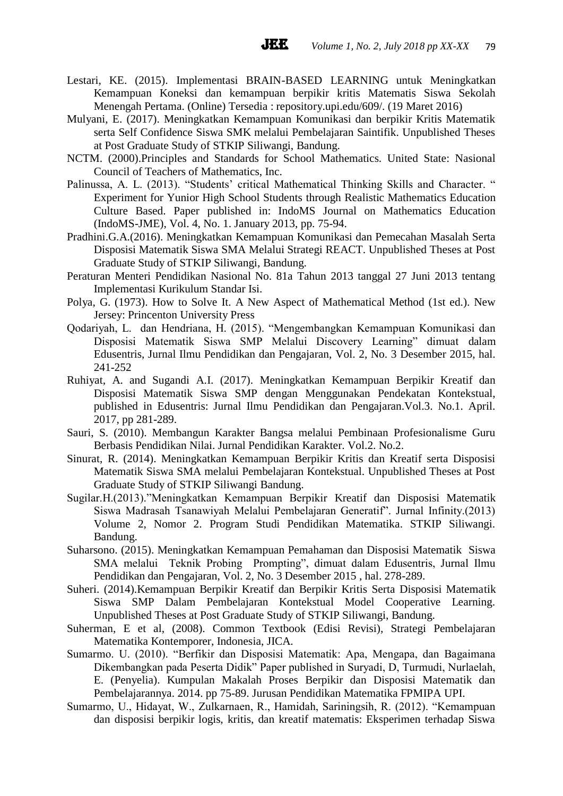Lestari, KE. (2015). Implementasi BRAIN-BASED LEARNING untuk Meningkatkan Kemampuan Koneksi dan kemampuan berpikir kritis Matematis Siswa Sekolah Menengah Pertama. (Online) Tersedia : repository.upi.edu/609/. (19 Maret 2016)

**JEE** 

- Mulyani, E. (2017). Meningkatkan Kemampuan Komunikasi dan berpikir Kritis Matematik serta Self Confidence Siswa SMK melalui Pembelajaran Saintifik. Unpublished Theses at Post Graduate Study of STKIP Siliwangi, Bandung.
- NCTM. (2000).Principles and Standards for School Mathematics. United State: Nasional Council of Teachers of Mathematics, Inc.
- Palinussa, A. L. (2013). "Students' critical Mathematical Thinking Skills and Character. " Experiment for Yunior High School Students through Realistic Mathematics Education Culture Based. Paper published in: IndoMS Journal on Mathematics Education (IndoMS-JME), Vol. 4, No. 1. January 2013, pp. 75-94.
- Pradhini.G.A.(2016). Meningkatkan Kemampuan Komunikasi dan Pemecahan Masalah Serta Disposisi Matematik Siswa SMA Melalui Strategi REACT. Unpublished Theses at Post Graduate Study of STKIP Siliwangi, Bandung.
- Peraturan Menteri Pendidikan Nasional No. 81a Tahun 2013 tanggal 27 Juni 2013 tentang Implementasi Kurikulum Standar Isi.
- Polya, G. (1973). How to Solve It. A New Aspect of Mathematical Method (1st ed.). New Jersey: Princenton University Press
- Qodariyah, L. dan Hendriana, H. (2015). "Mengembangkan Kemampuan Komunikasi dan Disposisi Matematik Siswa SMP Melalui Discovery Learning" dimuat dalam Edusentris, Jurnal Ilmu Pendidikan dan Pengajaran, Vol. 2, No. 3 Desember 2015, hal. 241-252
- Ruhiyat, A. and Sugandi A.I. (2017). Meningkatkan Kemampuan Berpikir Kreatif dan Disposisi Matematik Siswa SMP dengan Menggunakan Pendekatan Kontekstual, published in Edusentris: Jurnal Ilmu Pendidikan dan Pengajaran.Vol.3. No.1. April. 2017, pp 281-289.
- Sauri, S. (2010). Membangun Karakter Bangsa melalui Pembinaan Profesionalisme Guru Berbasis Pendidikan Nilai. Jurnal Pendidikan Karakter. Vol.2. No.2.
- Sinurat, R. (2014). Meningkatkan Kemampuan Berpikir Kritis dan Kreatif serta Disposisi Matematik Siswa SMA melalui Pembelajaran Kontekstual. Unpublished Theses at Post Graduate Study of STKIP Siliwangi Bandung.
- Sugilar.H.(2013)."Meningkatkan Kemampuan Berpikir Kreatif dan Disposisi Matematik Siswa Madrasah Tsanawiyah Melalui Pembelajaran Generatif". Jurnal Infinity.(2013) Volume 2, Nomor 2. Program Studi Pendidikan Matematika. STKIP Siliwangi. Bandung.
- Suharsono. (2015). Meningkatkan Kemampuan Pemahaman dan Disposisi Matematik Siswa SMA melalui Teknik Probing Prompting", dimuat dalam Edusentris, Jurnal Ilmu Pendidikan dan Pengajaran, Vol. 2, No. 3 Desember 2015 , hal. 278-289.
- Suheri. (2014).Kemampuan Berpikir Kreatif dan Berpikir Kritis Serta Disposisi Matematik Siswa SMP Dalam Pembelajaran Kontekstual Model Cooperative Learning. Unpublished Theses at Post Graduate Study of STKIP Siliwangi, Bandung.
- Suherman, E et al, (2008). Common Textbook (Edisi Revisi), Strategi Pembelajaran Matematika Kontemporer, Indonesia, JICA.
- Sumarmo. U. (2010). "Berfikir dan Disposisi Matematik: Apa, Mengapa, dan Bagaimana Dikembangkan pada Peserta Didik" Paper published in Suryadi, D, Turmudi, Nurlaelah, E. (Penyelia). Kumpulan Makalah Proses Berpikir dan Disposisi Matematik dan Pembelajarannya. 2014. pp 75-89. Jurusan Pendidikan Matematika FPMIPA UPI.
- Sumarmo, U., Hidayat, W., Zulkarnaen, R., Hamidah, Sariningsih, R. (2012). "Kemampuan dan disposisi berpikir logis, kritis, dan kreatif matematis: Eksperimen terhadap Siswa